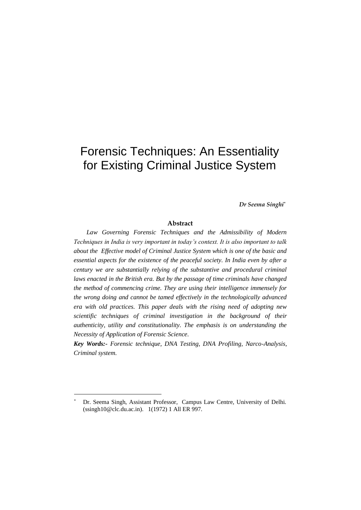# Forensic Techniques: An Essentiality for Existing Criminal Justice System

*Dr Seema Singhi\**

### **Abstract**

Law Governing Forensic Techniques and the Admissibility of Modern *Techniques in India is very important in today's context. It is also important to talk about the Effective model of Criminal Justice System which is one of the basic and essential aspects for the existence of the peaceful society. In India even by after a century we are substantially relying of the substantive and procedural criminal laws enacted in the British era. But by the passage of time criminals have changed the method of commencing crime. They are using their intelligence immensely for the wrong doing and cannot be tamed effectively in the technologically advanced era with old practices. This paper deals with the rising need of adopting new scientific techniques of criminal investigation in the background of their authenticity, utility and constitutionality. The emphasis is on understanding the Necessity of Application of Forensic Science.* 

*Key Words:- Forensic technique, DNA Testing, DNA Profiling, Narco-Analysis, Criminal system.* 

Dr. Seema Singh, Assistant Professor, Campus Law Centre, University of Delhi. (ssingh10@clc.du.ac.in). 1(1972) 1 All ER 997.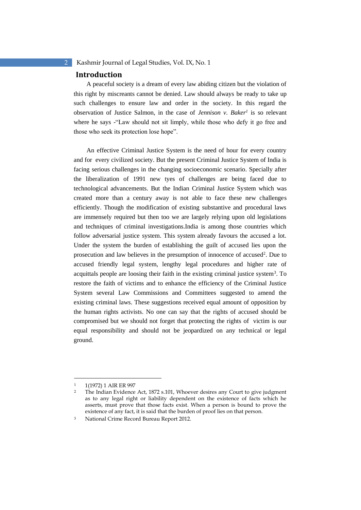### **Introduction**

A peaceful society is a dream of every law abiding citizen but the violation of this right by miscreants cannot be denied. Law should always be ready to take up such challenges to ensure law and order in the society. In this regard the observation of Justice Salmon, in the case of *Jennison v. Baker<sup>1</sup>* is so relevant where he says -"Law should not sit limply, while those who defy it go free and those who seek its protection lose hope".

An effective Criminal Justice System is the need of hour for every country and for every civilized society. But the present Criminal Justice System of India is facing serious challenges in the changing socioeconomic scenario. Specially after the liberalization of 1991 new tyes of challenges are being faced due to technological advancements. But the Indian Criminal Justice System which was created more than a century away is not able to face these new challenges efficiently. Though the modification of existing substantive and procedural laws are immensely required but then too we are largely relying upon old legislations and techniques of criminal investigations.India is among those countries which follow adversarial justice system. This system already favours the accused a lot. Under the system the burden of establishing the guilt of accused lies upon the prosecution and law believes in the presumption of innocence of accused<sup>2</sup>. Due to accused friendly legal system, lengthy legal procedures and higher rate of acquittals people are loosing their faith in the existing criminal justice system<sup>3</sup>. To restore the faith of victims and to enhance the efficiency of the Criminal Justice System several Law Commissions and Committees suggested to amend the existing criminal laws. These suggestions received equal amount of opposition by the human rights activists. No one can say that the rights of accused should be compromised but we should not forget that protecting the rights of victim is our equal responsibility and should not be jeopardized on any technical or legal ground.

<sup>1</sup> 1(1972) 1 AIR ER 997

The Indian Evidence Act, 1872 s.101, Whoever desires any Court to give judgment as to any legal right or liability dependent on the existence of facts which he asserts, must prove that those facts exist. When a person is bound to prove the existence of any fact, it is said that the burden of proof lies on that person.

<sup>3</sup> National Crime Record Bureau Report 2012.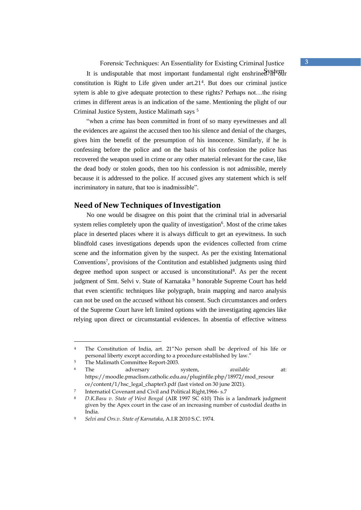Forensic Techniques: An Essentiality for Existing Criminal Justice **3**

It is undisputable that most important fundamental right enshrined  $\frac{System}{System}$ constitution is Right to Life given under art.21<sup>4</sup>. But does our criminal justice sytem is able to give adequate protection to these rights? Perhaps not…the rising crimes in different areas is an indication of the same. Mentioning the plight of our Criminal Justice System, Justice Malimath says <sup>5</sup>

"when a crime has been committed in front of so many eyewitnesses and all the evidences are against the accused then too his silence and denial of the charges, gives him the benefit of the presumption of his innocence. Similarly, if he is confessing before the police and on the basis of his confession the police has recovered the weapon used in crime or any other material relevant for the case, like the dead body or stolen goods, then too his confession is not admissible, merely because it is addressed to the police. If accused gives any statement which is self incriminatory in nature, that too is inadmissible".

### **Need of New Techniques of Investigation**

No one would be disagree on this point that the criminal trial in adversarial system relies completely upon the quality of investigation<sup>6</sup>. Most of the crime takes place in deserted places where it is always difficult to get an eyewitness. In such blindfold cases investigations depends upon the evidences collected from crime scene and the information given by the suspect. As per the existing International Conventions<sup>7</sup>, provisions of the Contitution and established judgments using third degree method upon suspect or accused is unconstitutional<sup>8</sup>. As per the recent judgment of Smt. Selvi v. State of Karnataka<sup>9</sup> honorable Supreme Court has held that even scientific techniques like polygraph, brain mapping and narco analysis can not be used on the accused without his consent. Such circumstances and orders of the Supreme Court have left limited options with the investigating agencies like relying upon direct or circumstantial evidences. In absentia of effective witness

<sup>4</sup> The Constitution of India, art. 21"No person shall be deprived of his life or personal liberty except according to a procedure established by law."

<sup>&</sup>lt;sup>5</sup> The Malimath Committee Report-2003.

The adversary system, *available* at: https://moodle.pmaclism.catholic.edu.au/pluginfile.php/18972/mod\_resour ce/content/1/hsc\_legal\_chapter3.pdf (last visted on 30 june 2021).

<sup>7</sup> Internatiol Covenant and Civil and Political Right,1966- s.7

<sup>8</sup> *D.K.Basu v. State of West Bengal* (AIR 1997 SC 610) This is a landmark judgment given by the Apex court in the case of an increasing number of custodial deaths in India.

<sup>9</sup> *Selvi and Ors.v. State of Karnataka*, A.I.R 2010 S.C. 1974.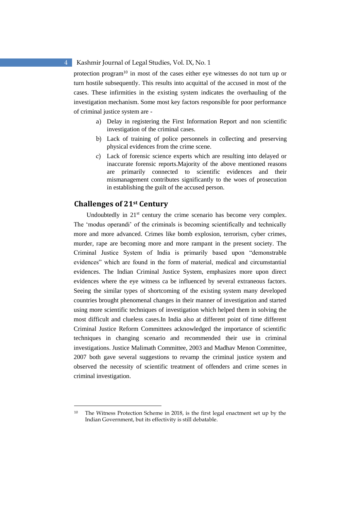protection program<sup>10</sup> in most of the cases either eye witnesses do not turn up or turn hostile subsequently. This results into acquittal of the accused in most of the cases. These infirmities in the existing system indicates the overhauling of the investigation mechanism. Some most key factors responsible for poor performance of criminal justice system are -

- a) Delay in registering the First Information Report and non scientific investigation of the criminal cases.
- b) Lack of training of police personnels in collecting and preserving physical evidences from the crime scene.
- c) Lack of forensic science experts which are resulting into delayed or inaccurate forensic reports.Majority of the above mentioned reasons are primarily connected to scientific evidences and their mismanagement contributes significantly to the woes of prosecution in establishing the guilt of the accused person.

### **Challenges of 21st Century**

Undoubtedly in 21<sup>st</sup> century the crime scenario has become very complex. The 'modus operandi' of the criminals is becoming scientifically and technically more and more advanced. Crimes like bomb explosion, terrorism, cyber crimes, murder, rape are becoming more and more rampant in the present society. The Criminal Justice System of India is primarily based upon "demonstrable evidences" which are found in the form of material, medical and circumstantial evidences. The Indian Criminal Justice System, emphasizes more upon direct evidences where the eye witness ca be influenced by several extraneous factors. Seeing the similar types of shortcoming of the existing system many developed countries brought phenomenal changes in their manner of investigation and started using more scientific techniques of investigation which helped them in solving the most difficult and clueless cases.In India also at different point of time different Criminal Justice Reform Committees acknowledged the importance of scientific techniques in changing scenario and recommended their use in criminal investigations. Justice Malimath Committee, 2003 and Madhav Menon Committee, 2007 both gave several suggestions to revamp the criminal justice system and observed the necessity of scientific treatment of offenders and crime scenes in criminal investigation.

<sup>&</sup>lt;sup>10</sup> The Witness Protection Scheme in 2018, is the first legal enactment set up by the Indian Government, but its effectivity is still debatable.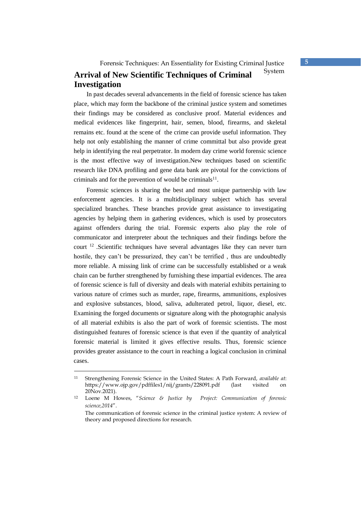## Arrival of New Scientific Techniques of Criminal<sup>System</sup> **Investigation**

In past decades several advancements in the field of forensic science has taken place, which may form the backbone of the criminal justice system and sometimes their findings may be considered as conclusive proof. Material evidences and medical evidences like fingerprint, hair, semen, blood, firearms, and skeletal remains etc. found at the scene of the crime can provide useful information. They help not only establishing the manner of crime committal but also provide great help in identifying the real perpetrator. In modern day crime world forensic science is the most effective way of investigation.New techniques based on scientific research like DNA profiling and gene data bank are pivotal for the convictions of criminals and for the prevention of would be criminals $11$ .

Forensic sciences is sharing the best and most unique partnership with law enforcement agencies. It is a multidisciplinary subject which has several specialized branches. These branches provide great assistance to investigating agencies by helping them in gathering evidences, which is used by prosecutors against offenders during the trial. Forensic experts also play the role of communicator and interpreter about the techniques and their findings before the court <sup>12</sup> .Scientific techniques have several advantages like they can never turn hostile, they can't be pressurized, they can't be terrified , thus are undoubtedly more reliable. A missing link of crime can be successfully established or a weak chain can be further strengthened by furnishing these impartial evidences. The area of forensic science is full of diversity and deals with material exhibits pertaining to various nature of crimes such as murder, rape, firearms, ammunitions, explosives and explosive substances, blood, saliva, adulterated petrol, liquor, diesel, etc. Examining the forged documents or signature along with the photographic analysis of all material exhibits is also the part of work of forensic scientists. The most distinguished features of forensic science is that even if the quantity of analytical forensic material is limited it gives effective results. Thus, forensic science provides greater assistance to the court in reaching a logical conclusion in criminal cases.

<sup>11</sup> Strengthening Forensic Science in the United States: A Path Forward, *available at*: https://www.ojp.gov/pdffiles1/nij/grants/228091.pdf (last visited on 20Nov.2021).

<sup>12</sup> Loene M Howes, "*Science & Justice by Project: Communication of forensic science,2014*".

The communication of forensic science in the criminal justice system: A review of theory and proposed directions for research.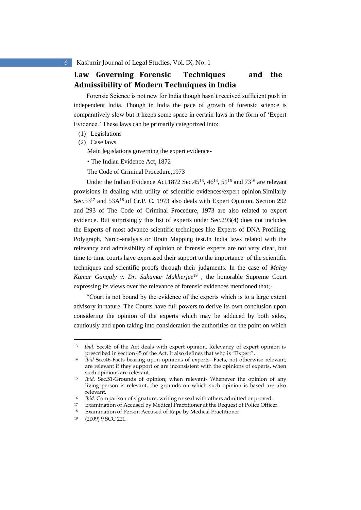### **Law Governing Forensic Techniques and the Admissibility of Modern Techniques in India**

Forensic Science is not new for India though hasn't received sufficient push in independent India. Though in India the pace of growth of forensic science is comparatively slow but it keeps some space in certain laws in the form of 'Expert Evidence.' These laws can be primarily categorized into:

- (1) Legislations
- (2) Case laws

Main legislations governing the expert evidence-

• The Indian Evidence Act, 1872

The Code of Criminal Procedure,1973

Under the Indian Evidence Act, 1872 Sec. 45<sup>13</sup>, 46<sup>14</sup>, 51<sup>15</sup> and 73<sup>16</sup> are relevant provisions in dealing with utility of scientific evidences/expert opinion.Similarly Sec.53<sup>17</sup> and 53A<sup>18</sup> of Cr.P. C. 1973 also deals with Expert Opinion. Section 292 and 293 of The Code of Criminal Procedure, 1973 are also related to expert evidence. But surprisingly this list of experts under Sec.293(4) does not includes the Experts of most advance scientific techniques like Experts of DNA Profiling, Polygraph, Narco-analysis or Brain Mapping test.In India laws related with the relevancy and admissibility of opinion of forensic experts are not very clear, but time to time courts have expressed their support to the importance of the scientific techniques and scientific proofs through their judgments. In the case of *Malay Kumar Ganguly v. Dr. Sukumar Mukherjee*<sup>19</sup> , the honorable Supreme Court expressing its views over the relevance of forensic evidences mentioned that;-

"Court is not bound by the evidence of the experts which is to a large extent advisory in nature. The Courts have full powers to derive its own conclusion upon considering the opinion of the experts which may be adduced by both sides, cautiously and upon taking into consideration the authorities on the point on which

<sup>13</sup> *Ibid*. Sec.45 of the Act deals with expert opinion. Relevancy of expert opinion is prescribed in section 45 of the Act. It also defines that who is "Expert".

<sup>14</sup> *Ibid* Sec.46-Facts bearing upon opinions of experts- Facts, not otherwise relevant, are relevant if they support or are inconsistent with the opinions of experts, when such opinions are relevant.

<sup>15</sup> *Ibid.* Sec.51-Grounds of opinion, when relevant- Whenever the opinion of any living person is relevant, the grounds on which such opinion is based are also relevant.

<sup>16</sup> *Ibid.* Comparison of signature, writing or seal with others admitted or proved.

<sup>17</sup> Examination of Accused by Medical Practitioner at the Request of Police Officer.

<sup>18</sup> Examination of Person Accused of Rape by Medical Practitioner.

<sup>19</sup> (2009) 9 SCC 221.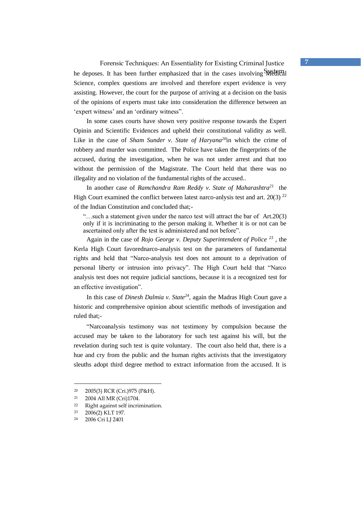Forensic Techniques: An Essentiality for Existing Criminal Justice **7** he deposes. It has been further emphasized that in the cases involving Wedical Science, complex questions are involved and therefore expert evidence is very assisting. However, the court for the purpose of arriving at a decision on the basis of the opinions of experts must take into consideration the difference between an 'expert witness' and an 'ordinary witness".

In some cases courts have shown very positive response towards the Expert Opinin and Scientific Evidences and upheld their constitutional validity as well. Like in the case of *Sham Sunder v. State of Haryana<sup>20</sup>*in which the crime of robbery and murder was committed. The Police have taken the fingerprints of the accused, during the investigation, when he was not under arrest and that too without the permission of the Magistrate. The Court held that there was no illegality and no violation of the fundamental rights of the accused..

In another case of *Ramchandra Ram Reddy v. State of Maharashtra<sup>21</sup>* the High Court examined the conflict between latest narco-anlysis test and art. 20(3)  $^{22}$ of the Indian Constitution and concluded that;-

"…such a statement given under the narco test will attract the bar of Art.20(3) only if it is incriminating to the person making it. Whether it is or not can be ascertained only after the test is administered and not before".

Again in the case of *Rojo George v. Deputy Superintendent of Police <sup>23</sup>* , the Kerla High Court favorednarco-analysis test on the parameters of fundamental rights and held that "Narco-analysis test does not amount to a deprivation of personal liberty or intrusion into privacy". The High Court held that "Narco analysis test does not require judicial sanctions, because it is a recognized test for an effective investigation".

In this case of *Dinesh Dalmia v. State<sup>24</sup>*, again the Madras High Court gave a historic and comprehensive opinion about scientific methods of investigation and ruled that;-

"Narcoanalysis testimony was not testimony by compulsion because the accused may be taken to the laboratory for such test against his will, but the revelation during such test is quite voluntary. The court also held that, there is a hue and cry from the public and the human rights activists that the investigatory sleuths adopt third degree method to extract information from the accused. It is

<sup>20</sup> 2005(3) RCR (Cri.)975 (P&H).

 $21$  2004 All MR (Cri) 1704.<br> $22$  Right against self incrin

<sup>22</sup> Right against self incrimination.<br>
23  $2006(2)$  KLT 197

<sup>2006(2)</sup> KLT 197.

<sup>24</sup> 2006 Cri LJ 2401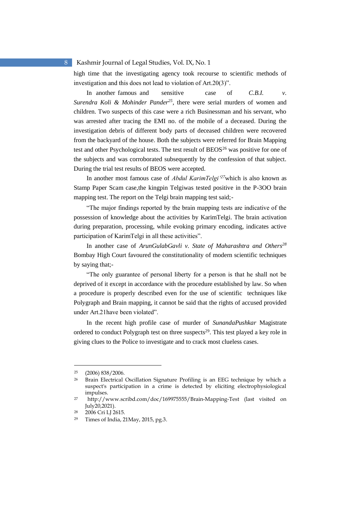high time that the investigating agency took recourse to scientific methods of investigation and this does not lead to violation of Art.20(3)".

In another famous and sensitive case of *C.B.I. v. Surendra Koli & Mohinder Pander<sup>25</sup>*, there were serial murders of women and children. Two suspects of this case were a rich Businessman and his servant, who was arrested after tracing the EMI no. of the mobile of a deceased. During the investigation debris of different body parts of deceased children were recovered from the backyard of the house. Both the subjects were referred for Brain Mapping test and other Psychological tests. The test result of BEOS<sup>26</sup> was positive for one of the subjects and was corroborated subsequently by the confession of that subject. During the trial test results of BEOS were accepted.

In another most famous case of *Abdul KarimTelgi'<sup>27</sup>*which is also known as Stamp Paper Scam case,the kingpin Telgiwas tested positive in the P-3OO brain mapping test. The report on the Telgi brain mapping test said;-

"The major findings reported by the brain mapping tests are indicative of the possession of knowledge about the activities by KarimTelgi. The brain activation during preparation, processing, while evoking primary encoding, indicates active participation of KarimTelgi in all these activities".

In another case of *ArunGulabGavli v. State of Maharashtra and Others<sup>28</sup>* Bombay High Court favoured the constitutionality of modern scientific techniques by saying that;-

"The only guarantee of personal liberty for a person is that he shall not be deprived of it except in accordance with the procedure established by law. So when a procedure is properly described even for the use of scientific techniques like Polygraph and Brain mapping, it cannot be said that the rights of accused provided under Art.21have been violated".

In the recent high profile case of murder of *SunandaPushkar* Magistrate ordered to conduct Polygraph test on three suspects<sup>29</sup>. This test played a key role in giving clues to the Police to investigate and to crack most clueless cases.

<sup>25</sup> (2006) 838/2006.

<sup>26</sup> Brain Electrical Oscillation Signature Profiling is an EEG technique by which a suspect's participation in a crime is detected by eliciting electrophysiological impulses.

<sup>27</sup> http://www.scribd.com/doc/169975555/Brain-Mapping-Test (last visited on July20,2021).

<sup>28</sup> 2006 Cri LJ 2615.

<sup>29</sup> Times of India, 21May, 2015, pg.3.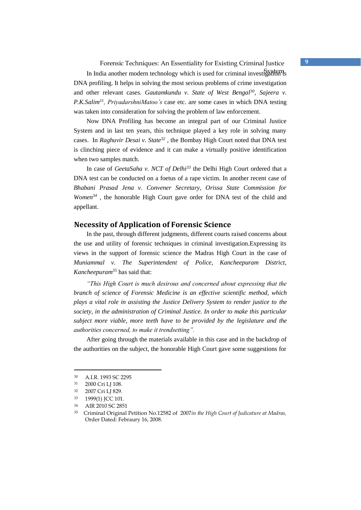Forensic Techniques: An Essentiality for Existing Criminal Justice **9**

In India another modern technology which is used for criminal investigation is DNA profiling. It helps in solving the most serious problems of crime investigation and other relevant cases. *Gautamkundu v. State of West Bengal<sup>30</sup>, Sajeera v. P.K.Salim<sup>31</sup>, PriyadarshniMatoo's* case etc. are some cases in which DNA testing was taken into consideration for solving the problem of law enforcement.

Now DNA Profiling has become an integral part of our Criminal Justice System and in last ten years, this technique played a key role in solving many cases. In *Raghuvir Desai v. State<sup>32</sup>* , the Bombay High Court noted that DNA test is clinching piece of evidence and it can make a virtually positive identification when two samples match.

In case of *GeetaSaha v. NCT of Delhi<sup>33</sup>* the Delhi High Court ordered that a DNA test can be conducted on a foetus of a rape victim. In another recent case of *Bhabani Prasad Jena v. Convener Secretary, Orissa State Commission for Women<sup>34</sup>* , the honorable High Court gave order for DNA test of the child and appellant.

### **Necessity of Application of Forensic Science**

In the past, through different judgments, different courts raised concerns about the use and utility of forensic techniques in criminal investigation.Expressing its views in the support of forensic science the Madras High Court in the case of *Muniammal v. The Superintendent of Police, Kancheepuram District, Kancheepuram<sup>35</sup>* has said that:

*"This High Court is much desirous and concerned about expressing that the branch of science of Forensic Medicine is an effective scientific method, which plays a vital role in assisting the Justice Delivery System to render justice to the society, in the administration of Criminal Justice. In order to make this particular subject more viable, more teeth have to be provided by the legislature and the authorities concerned, to make it trendsetting".* 

After going through the materials available in this case and in the backdrop of the authorities on the subject, the honorable High Court gave some suggestions for

<sup>30</sup> A.I.R. 1993 SC 2295

<sup>31</sup> 2000 Cri LJ 108.

<sup>32</sup> 2007 Cri LJ 829.

<sup>33</sup> 1999(1) JCC 101.

<sup>34</sup> AIR 2010 SC 2851

<sup>35</sup> Criminal Original Petition No.12582 of 2007*in the High Court of Judicature at Madras,* Order Dated: Febraury 16, 2008.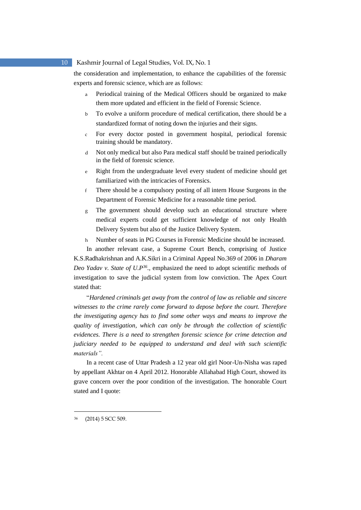the consideration and implementation, to enhance the capabilities of the forensic experts and forensic science, which are as follows:

- a Periodical training of the Medical Officers should be organized to make them more updated and efficient in the field of Forensic Science.
- b To evolve a uniform procedure of medical certification, there should be a standardized format of noting down the injuries and their signs.
- c For every doctor posted in government hospital, periodical forensic training should be mandatory.
- d Not only medical but also Para medical staff should be trained periodically in the field of forensic science.
- e Right from the undergraduate level every student of medicine should get familiarized with the intricacies of Forensics.
- f There should be a compulsory posting of all intern House Surgeons in the Department of Forensic Medicine for a reasonable time period.
- g The government should develop such an educational structure where medical experts could get sufficient knowledge of not only Health Delivery System but also of the Justice Delivery System.
- h Number of seats in PG Courses in Forensic Medicine should be increased.

In another relevant case, a Supreme Court Bench, comprising of Justice K.S.Radhakrishnan and A.K.Sikri in a Criminal Appeal No.369 of 2006 in *Dharam Deo Yadav v. State of U.P<sup>36</sup> .,* emphasized the need to adopt scientific methods of investigation to save the judicial system from low conviction. The Apex Court stated that:

"*Hardened criminals get away from the control of law as reliable and sincere witnesses to the crime rarely come forward to depose before the court. Therefore the investigating agency has to find some other ways and means to improve the quality of investigation, which can only be through the collection of scientific evidences. There is a need to strengthen forensic science for crime detection and judiciary needed to be equipped to understand and deal with such scientific materials".*

In a recent case of Uttar Pradesh a 12 year old girl Noor-Un-Nisha was raped by appellant Akhtar on 4 April 2012. Honorable Allahabad High Court, showed its grave concern over the poor condition of the investigation. The honorable Court stated and I quote:

<sup>(2014) 5</sup> SCC 509.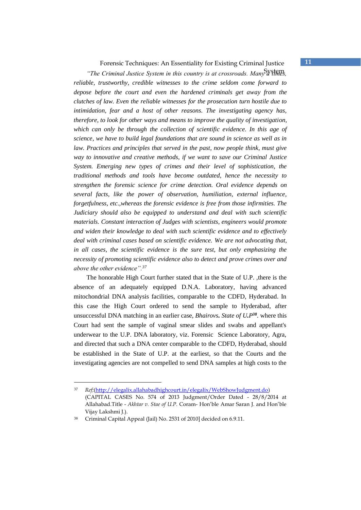Forensic Techniques: An Essentiality for Existing Criminal Justice **11**

*"The Criminal Justice System in this country is at crossroads. Many* a times. *reliable, trustworthy, credible witnesses to the crime seldom come forward to depose before the court and even the hardened criminals get away from the clutches of law. Even the reliable witnesses for the prosecution turn hostile due to intimidation, fear and a host of other reasons. The investigating agency has, therefore, to look for other ways and means to improve the quality of investigation, which can only be through the collection of scientific evidence. In this age of science, we have to build legal foundations that are sound in science as well as in law. Practices and principles that served in the past, now people think, must give way to innovative and creative methods, if we want to save our Criminal Justice System. Emerging new types of crimes and their level of sophistication, the traditional methods and tools have become outdated, hence the necessity to strengthen the forensic science for crime detection. Oral evidence depends on several facts, like the power of observation, humiliation, external influence, forgetfulness, etc.,whereas the forensic evidence is free from those infirmities. The Judiciary should also be equipped to understand and deal with such scientific materials. Constant interaction of Judges with scientists, engineers would promote and widen their knowledge to deal with such scientific evidence and to effectively deal with criminal cases based on scientific evidence. We are not advocating that, in all cases, the scientific evidence is the sure test, but only emphasizing the necessity of promoting scientific evidence also to detect and prove crimes over and above the other evidence".<sup>37</sup>* 

The honorable High Court further stated that in the State of U.P. ,there is the absence of an adequately equipped D.N.A. Laboratory, having advanced mitochondrial DNA analysis facilities, comparable to the CDFD, Hyderabad. In this case the High Court ordered to send the sample to Hyderabad, after unsuccessful DNA matching in an earlier case, *Bhairovs. State of U.P <sup>38</sup>*. where this Court had sent the sample of vaginal smear slides and swabs and appellant's underwear to the U.P. DNA laboratory, viz. Forensic Science Laboratory, Agra, and directed that such a DNA center comparable to the CDFD, Hyderabad, should be established in the State of U.P. at the earliest, so that the Courts and the investigating agencies are not compelled to send DNA samples at high costs to the

<sup>37</sup> *Ref;*(http://elegalix.allahabadhighcourt.in/elegalix/WebShowJudgment.do) (CAPITAL CASES No. 574 of 2013 Judgment/Order Dated - 28/8/2014 at Allahabad.Title - *Akhtar v. Stae of U.P.* Coram- Hon'ble Amar Saran J. and Hon'ble Vijay Lakshmi J.).

<sup>38</sup> Criminal Capital Appeal (Jail) No. 2531 of 2010] decided on 6.9.11.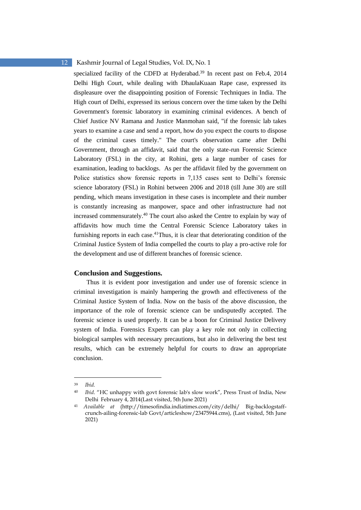specialized facility of the CDFD at Hyderabad.<sup>39</sup> In recent past on Feb.4, 2014 Delhi High Court, while dealing with DhaulaKuaan Rape case, expressed its displeasure over the disappointing position of Forensic Techniques in India. The High court of Delhi, expressed its serious concern over the time taken by the Delhi Government's forensic laboratory in examining criminal evidences. A bench of Chief Justice NV Ramana and Justice Manmohan said, "if the forensic lab takes years to examine a case and send a report, how do you expect the courts to dispose of the criminal cases timely." The court's observation came after Delhi Government, through an affidavit, said that the only state-run Forensic Science Laboratory (FSL) in the city, at Rohini, gets a large number of cases for examination, leading to backlogs. As per the affidavit filed by the government on Police statistics show forensic reports in 7,135 cases sent to Delhi's forensic science laboratory (FSL) in Rohini between 2006 and 2018 (till June 30) are still pending, which means investigation in these cases is incomplete and their number is constantly increasing as manpower, space and other infrastructure had not increased commensurately.<sup>40</sup> The court also asked the Centre to explain by way of affidavits how much time the Central Forensic Science Laboratory takes in furnishing reports in each case.<sup>41</sup>Thus, it is clear that deteriorating condition of the Criminal Justice System of India compelled the courts to play a pro-active role for the development and use of different branches of forensic science.

#### **Conclusion and Suggestions.**

Thus it is evident poor investigation and under use of forensic science in criminal investigation is mainly hampering the growth and effectiveness of the Criminal Justice System of India. Now on the basis of the above discussion, the importance of the role of forensic science can be undisputedly accepted. The forensic science is used properly. It can be a boon for Criminal Justice Delivery system of India. Forensics Experts can play a key role not only in collecting biological samples with necessary precautions, but also in delivering the best test results, which can be extremely helpful for courts to draw an appropriate conclusion.

<sup>39</sup> *Ibid.*

<sup>40</sup> *Ibid*. "HC unhappy with govt forensic lab's slow work", Press Trust of India, New Delhi February 4, 2014(Last visited, 5th June 2021)

<sup>41</sup> *Available at* (http://timesofindia.indiatimes.com/city/delhi/ Big-backlogstaffcrunch-ailing-forensic-lab Govt/articleshow/23475944.cms), (Last visited, 5th June 2021)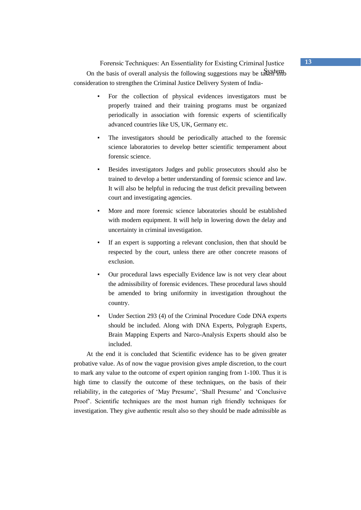Forensic Techniques: An Essentiality for Existing Criminal Justice **13** On the basis of overall analysis the following suggestions may be taken into consideration to strengthen the Criminal Justice Delivery System of India-

- For the collection of physical evidences investigators must be properly trained and their training programs must be organized periodically in association with forensic experts of scientifically advanced countries like US, UK, Germany etc.
- The investigators should be periodically attached to the forensic science laboratories to develop better scientific temperament about forensic science.
- Besides investigators Judges and public prosecutors should also be trained to develop a better understanding of forensic science and law. It will also be helpful in reducing the trust deficit prevailing between court and investigating agencies.
- More and more forensic science laboratories should be established with modern equipment. It will help in lowering down the delay and uncertainty in criminal investigation.
- If an expert is supporting a relevant conclusion, then that should be respected by the court, unless there are other concrete reasons of exclusion.
- Our procedural laws especially Evidence law is not very clear about the admissibility of forensic evidences. These procedural laws should be amended to bring uniformity in investigation throughout the country.
- Under Section 293 (4) of the Criminal Procedure Code DNA experts should be included. Along with DNA Experts, Polygraph Experts, Brain Mapping Experts and Narco-Analysis Experts should also be included.

At the end it is concluded that Scientific evidence has to be given greater probative value. As of now the vague provision gives ample discretion, to the court to mark any value to the outcome of expert opinion ranging from 1-100. Thus it is high time to classify the outcome of these techniques, on the basis of their reliability, in the categories of 'May Presume', 'Shall Presume' and 'Conclusive Proof'. Scientific techniques are the most human righ friendly techniques for investigation. They give authentic result also so they should be made admissible as